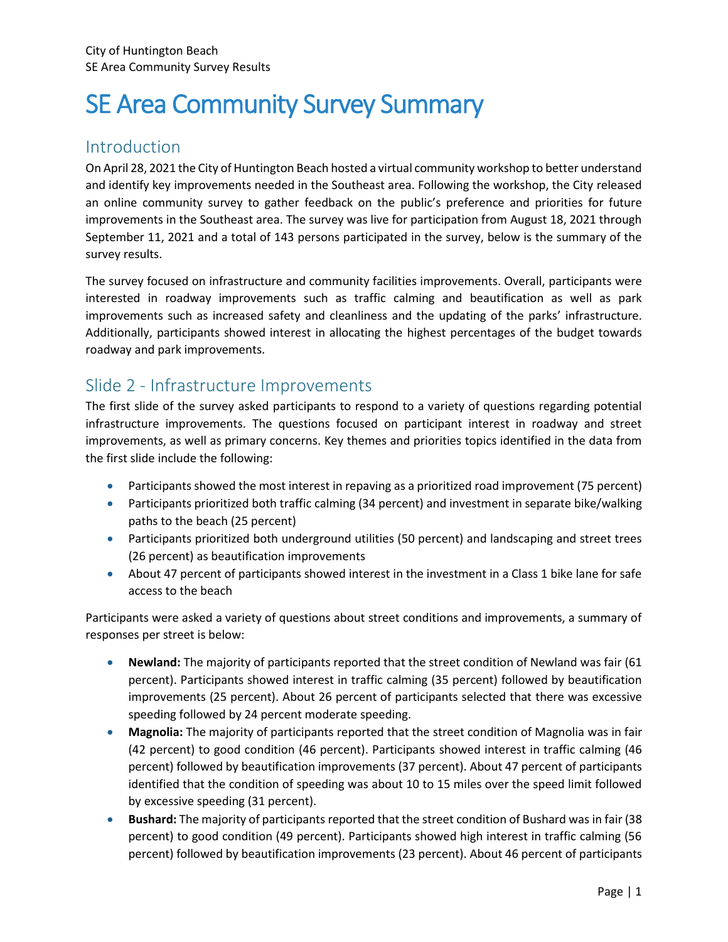# SE Area Community Survey Summary

# Introduction

On April 28, 2021 the City of Huntington Beach hosted a virtual community workshop to better understand and identify key improvements needed in the Southeast area. Following the workshop, the City released an online community survey to gather feedback on the public's preference and priorities for future improvements in the Southeast area. The survey was live for participation from August 18, 2021 through September 11, 2021 and a total of 143 persons participated in the survey, below is the summary of the survey results.

The survey focused on infrastructure and community facilities improvements. Overall, participants were interested in roadway improvements such as traffic calming and beautification as well as park improvements such as increased safety and cleanliness and the updating of the parks' infrastructure. Additionally, participants showed interest in allocating the highest percentages of the budget towards roadway and park improvements.

## Slide 2 - Infrastructure Improvements

The first slide of the survey asked participants to respond to a variety of questions regarding potential infrastructure improvements. The questions focused on participant interest in roadway and street improvements, as well as primary concerns. Key themes and priorities topics identified in the data from the first slide include the following:

- Participants showed the most interest in repaving as a prioritized road improvement (75 percent)
- Participants prioritized both traffic calming (34 percent) and investment in separate bike/walking paths to the beach (25 percent)
- Participants prioritized both underground utilities (50 percent) and landscaping and street trees (26 percent) as beautification improvements
- About 47 percent of participants showed interest in the investment in a Class 1 bike lane for safe access to the beach

Participants were asked a variety of questions about street conditions and improvements, a summary of responses per street is below:

- **Newland:** The majority of participants reported that the street condition of Newland was fair (61 percent). Participants showed interest in traffic calming (35 percent) followed by beautification improvements (25 percent). About 26 percent of participants selected that there was excessive speeding followed by 24 percent moderate speeding.
- **Magnolia:** The majority of participants reported that the street condition of Magnolia was in fair (42 percent) to good condition (46 percent). Participants showed interest in traffic calming (46 percent) followed by beautification improvements (37 percent). About 47 percent of participants identified that the condition of speeding was about 10 to 15 miles over the speed limit followed by excessive speeding (31 percent).
- **Bushard:** The majority of participants reported that the street condition of Bushard was in fair (38 percent) to good condition (49 percent). Participants showed high interest in traffic calming (56 percent) followed by beautification improvements (23 percent). About 46 percent of participants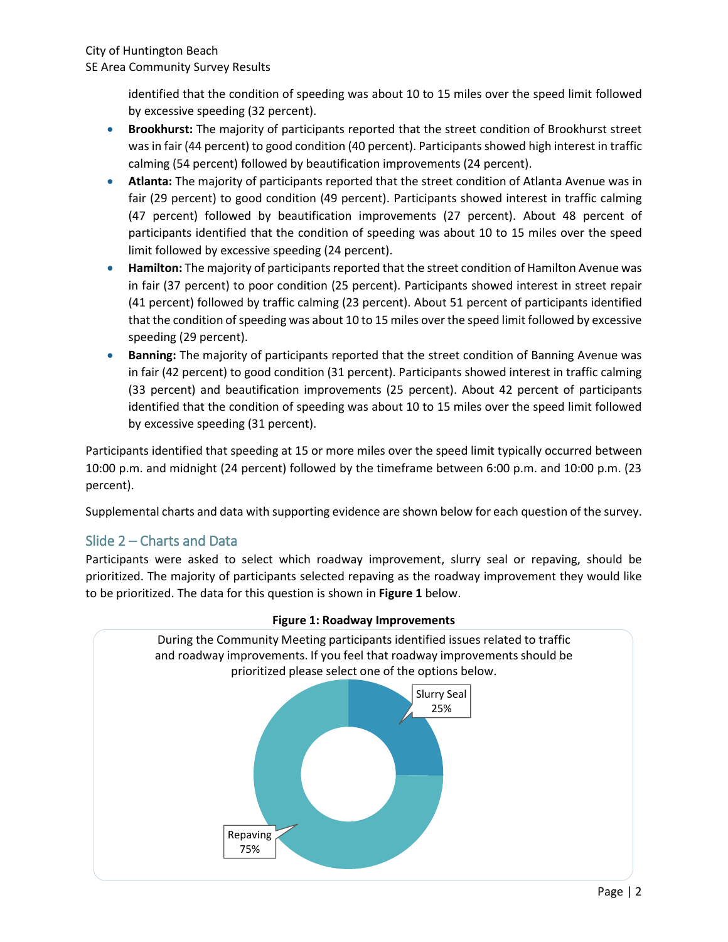identified that the condition of speeding was about 10 to 15 miles over the speed limit followed by excessive speeding (32 percent).

- **Brookhurst:** The majority of participants reported that the street condition of Brookhurst street was in fair (44 percent) to good condition (40 percent). Participants showed high interest in traffic calming (54 percent) followed by beautification improvements (24 percent).
- **Atlanta:** The majority of participants reported that the street condition of Atlanta Avenue was in fair (29 percent) to good condition (49 percent). Participants showed interest in traffic calming (47 percent) followed by beautification improvements (27 percent). About 48 percent of participants identified that the condition of speeding was about 10 to 15 miles over the speed limit followed by excessive speeding (24 percent).
- **Hamilton:** The majority of participants reported that the street condition of Hamilton Avenue was in fair (37 percent) to poor condition (25 percent). Participants showed interest in street repair (41 percent) followed by traffic calming (23 percent). About 51 percent of participants identified that the condition of speeding was about 10 to 15 miles over the speed limit followed by excessive speeding (29 percent).
- **Banning:** The majority of participants reported that the street condition of Banning Avenue was in fair (42 percent) to good condition (31 percent). Participants showed interest in traffic calming (33 percent) and beautification improvements (25 percent). About 42 percent of participants identified that the condition of speeding was about 10 to 15 miles over the speed limit followed by excessive speeding (31 percent).

Participants identified that speeding at 15 or more miles over the speed limit typically occurred between 10:00 p.m. and midnight (24 percent) followed by the timeframe between 6:00 p.m. and 10:00 p.m. (23 percent).

Supplemental charts and data with supporting evidence are shown below for each question of the survey.

## Slide 2 – Charts and Data

Participants were asked to select which roadway improvement, slurry seal or repaving, should be prioritized. The majority of participants selected repaving as the roadway improvement they would like to be prioritized. The data for this question is shown in **Figure 1** below.



#### **Figure 1: Roadway Improvements**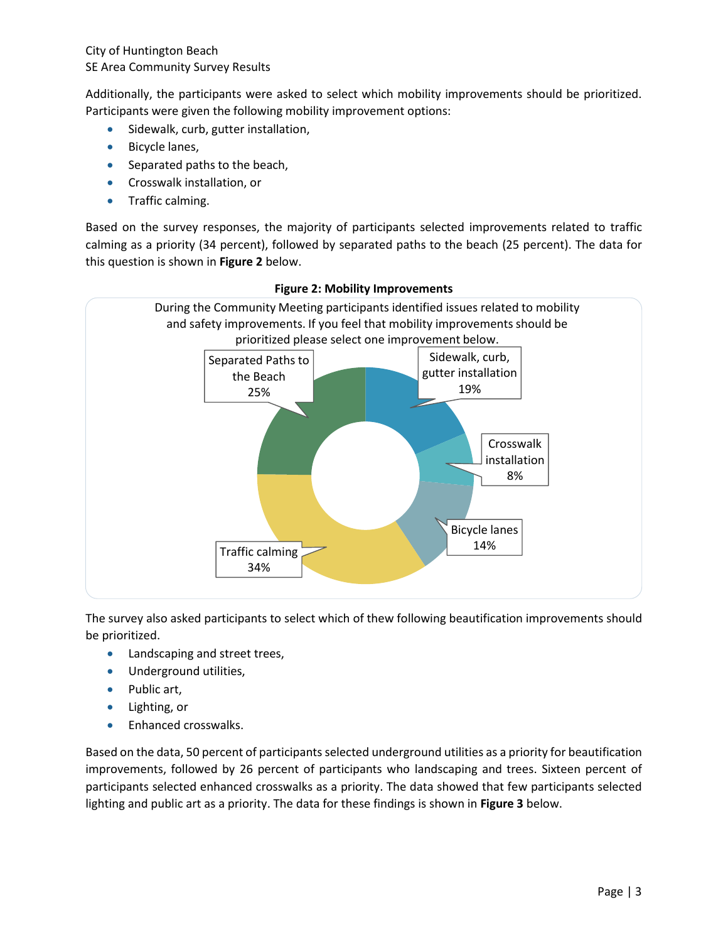Additionally, the participants were asked to select which mobility improvements should be prioritized. Participants were given the following mobility improvement options:

- Sidewalk, curb, gutter installation,
- **Bicycle lanes,**
- Separated paths to the beach,
- Crosswalk installation, or
- Traffic calming.

Based on the survey responses, the majority of participants selected improvements related to traffic calming as a priority (34 percent), followed by separated paths to the beach (25 percent). The data for this question is shown in **Figure 2** below.



#### **Figure 2: Mobility Improvements**

The survey also asked participants to select which of thew following beautification improvements should be prioritized.

- Landscaping and street trees,
- Underground utilities,
- Public art,
- Lighting, or
- Enhanced crosswalks.

Based on the data, 50 percent of participants selected underground utilities as a priority for beautification improvements, followed by 26 percent of participants who landscaping and trees. Sixteen percent of participants selected enhanced crosswalks as a priority. The data showed that few participants selected lighting and public art as a priority. The data for these findings is shown in **Figure 3** below.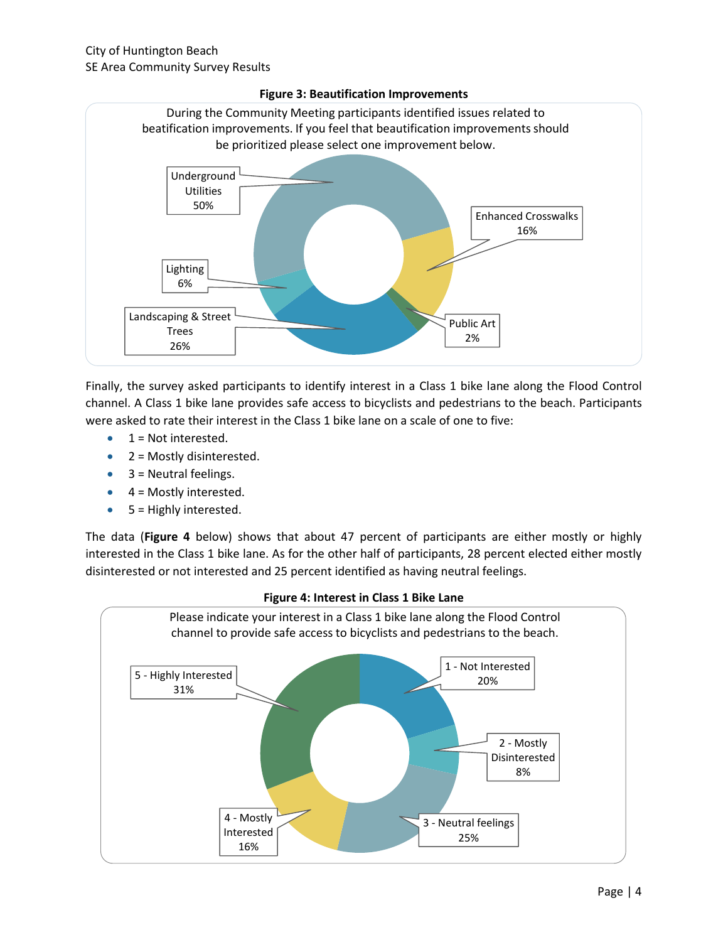

#### **Figure 3: Beautification Improvements**

Finally, the survey asked participants to identify interest in a Class 1 bike lane along the Flood Control channel. A Class 1 bike lane provides safe access to bicyclists and pedestrians to the beach. Participants were asked to rate their interest in the Class 1 bike lane on a scale of one to five:

- $\bullet$  1 = Not interested.
- $\bullet$  2 = Mostly disinterested.
- $\bullet$  3 = Neutral feelings.
- $\bullet$  4 = Mostly interested.
- $\bullet$  5 = Highly interested.

The data (**Figure 4** below) shows that about 47 percent of participants are either mostly or highly interested in the Class 1 bike lane. As for the other half of participants, 28 percent elected either mostly disinterested or not interested and 25 percent identified as having neutral feelings.



#### **Figure 4: Interest in Class 1 Bike Lane**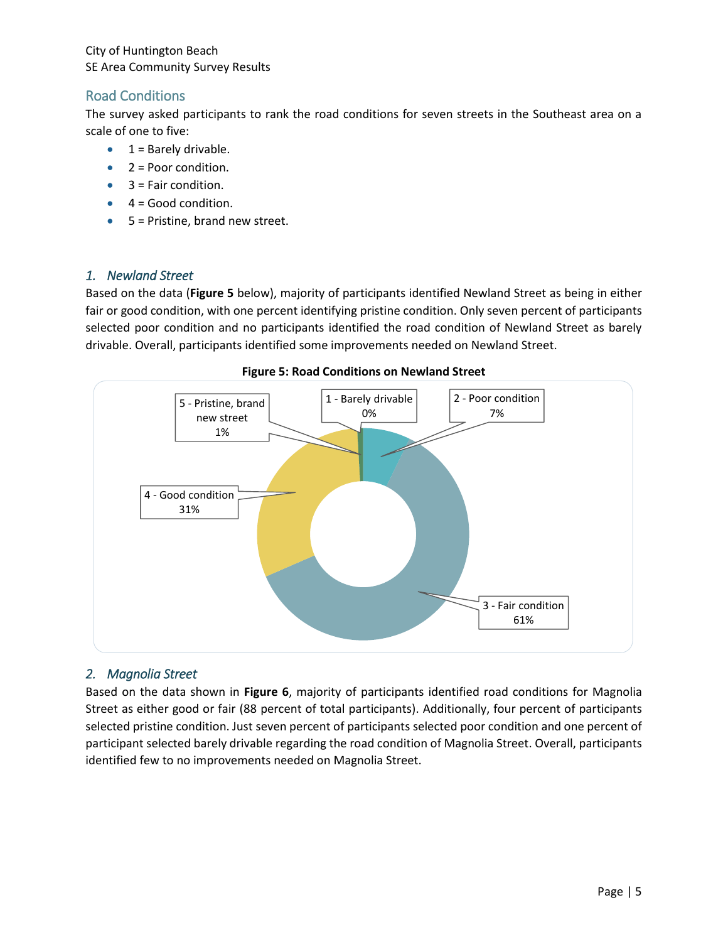## Road Conditions

The survey asked participants to rank the road conditions for seven streets in the Southeast area on a scale of one to five:

- $\bullet$  1 = Barely drivable.
- $2 =$  Poor condition.
- 3 = Fair condition.
- $\bullet$  4 = Good condition.
- $5$  = Pristine, brand new street.

#### *1. Newland Street*

Based on the data (**Figure 5** below), majority of participants identified Newland Street as being in either fair or good condition, with one percent identifying pristine condition. Only seven percent of participants selected poor condition and no participants identified the road condition of Newland Street as barely drivable. Overall, participants identified some improvements needed on Newland Street.



#### **Figure 5: Road Conditions on Newland Street**

#### *2. Magnolia Street*

Based on the data shown in **Figure 6**, majority of participants identified road conditions for Magnolia Street as either good or fair (88 percent of total participants). Additionally, four percent of participants selected pristine condition. Just seven percent of participants selected poor condition and one percent of participant selected barely drivable regarding the road condition of Magnolia Street. Overall, participants identified few to no improvements needed on Magnolia Street.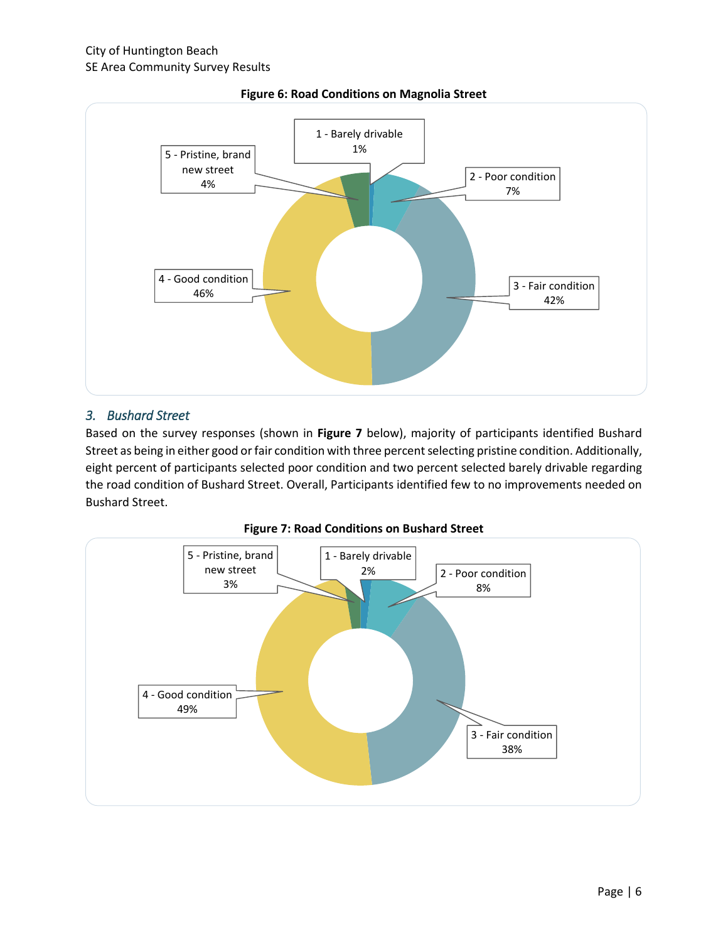



#### *3. Bushard Street*

Based on the survey responses (shown in **Figure 7** below), majority of participants identified Bushard Street as being in either good or fair condition with three percent selecting pristine condition. Additionally, eight percent of participants selected poor condition and two percent selected barely drivable regarding the road condition of Bushard Street. Overall, Participants identified few to no improvements needed on Bushard Street.



**Figure 7: Road Conditions on Bushard Street**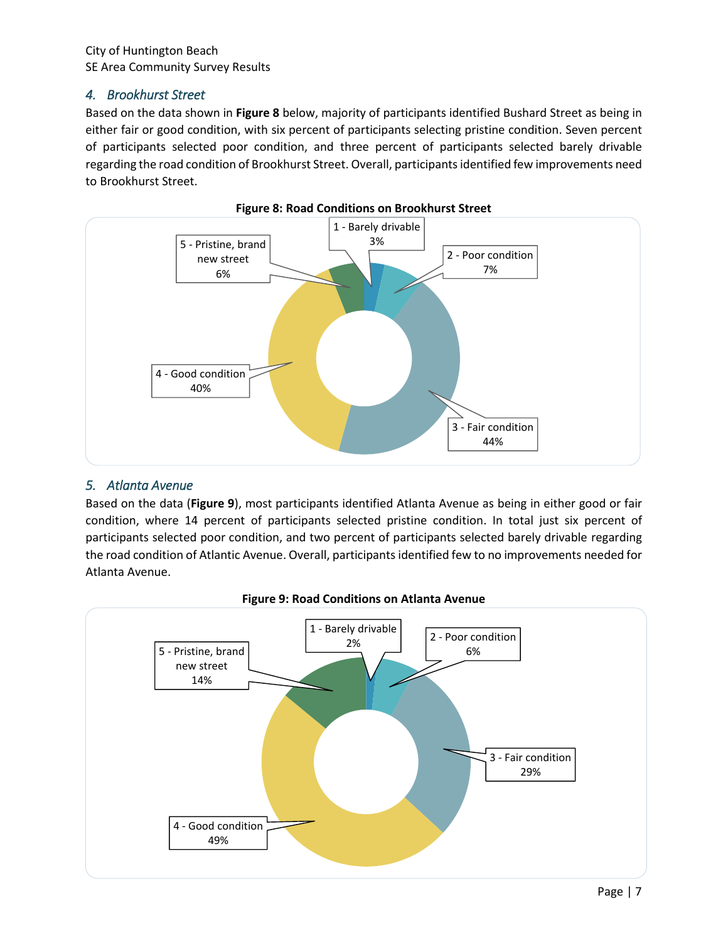#### *4. Brookhurst Street*

Based on the data shown in **Figure 8** below, majority of participants identified Bushard Street as being in either fair or good condition, with six percent of participants selecting pristine condition. Seven percent of participants selected poor condition, and three percent of participants selected barely drivable regarding the road condition of Brookhurst Street. Overall, participantsidentified few improvements need to Brookhurst Street.





#### *5. Atlanta Avenue*

Based on the data (**Figure 9**), most participants identified Atlanta Avenue as being in either good or fair condition, where 14 percent of participants selected pristine condition. In total just six percent of participants selected poor condition, and two percent of participants selected barely drivable regarding the road condition of Atlantic Avenue. Overall, participants identified few to no improvements needed for Atlanta Avenue.



#### **Figure 9: Road Conditions on Atlanta Avenue**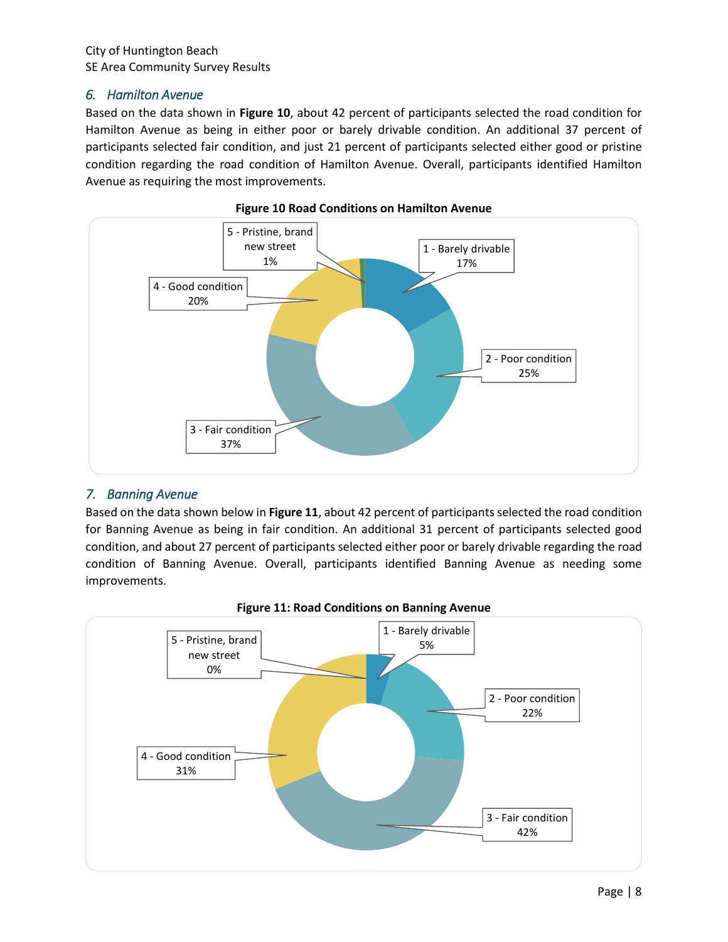#### *6. Hamilton Avenue*

Based on the data shown in **Figure 10**, about 42 percent of participants selected the road condition for Hamilton Avenue as being in either poor or barely drivable condition. An additional 37 percent of participants selected fair condition, and just 21 percent of participants selected either good or pristine condition regarding the road condition of Hamilton Avenue. Overall, participants identified Hamilton Avenue as requiring the most improvements.





#### *7. Banning Avenue*

Based on the data shown below in **Figure 11**, about 42 percent of participants selected the road condition for Banning Avenue as being in fair condition. An additional 31 percent of participants selected good condition, and about 27 percent of participants selected either poor or barely drivable regarding the road condition of Banning Avenue. Overall, participants identified Banning Avenue as needing some improvements.



**Figure 11: Road Conditions on Banning Avenue**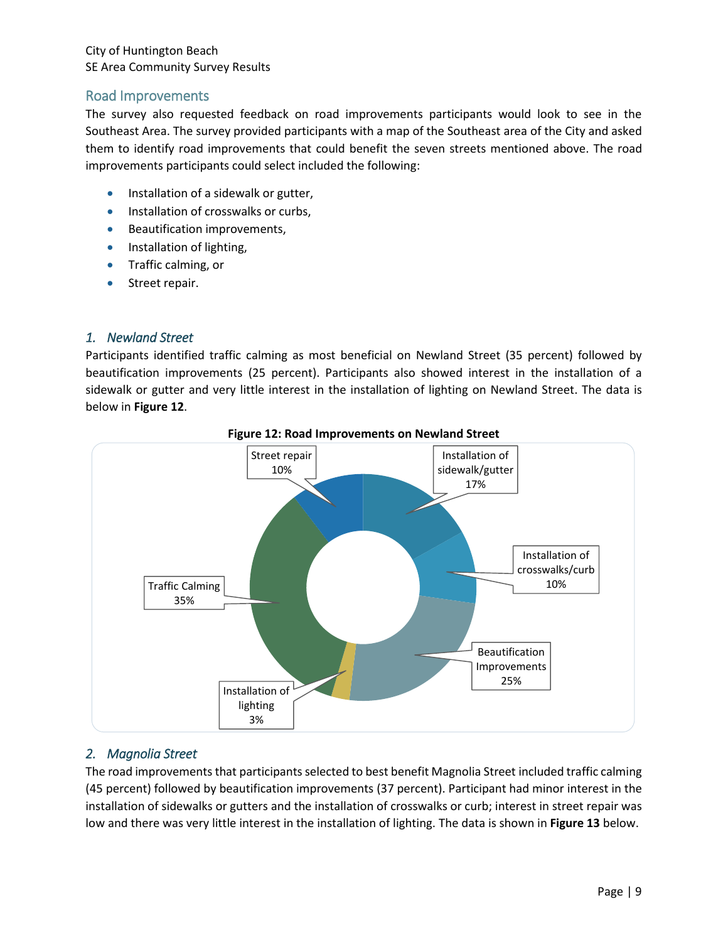#### Road Improvements

The survey also requested feedback on road improvements participants would look to see in the Southeast Area. The survey provided participants with a map of the Southeast area of the City and asked them to identify road improvements that could benefit the seven streets mentioned above. The road improvements participants could select included the following:

- Installation of a sidewalk or gutter,
- **Installation of crosswalks or curbs,**
- Beautification improvements,
- Installation of lighting,
- Traffic calming, or
- Street repair.

#### *1. Newland Street*

Participants identified traffic calming as most beneficial on Newland Street (35 percent) followed by beautification improvements (25 percent). Participants also showed interest in the installation of a sidewalk or gutter and very little interest in the installation of lighting on Newland Street. The data is below in **Figure 12**.



**Figure 12: Road Improvements on Newland Street**

## *2. Magnolia Street*

The road improvements that participants selected to best benefit Magnolia Street included traffic calming (45 percent) followed by beautification improvements (37 percent). Participant had minor interest in the installation of sidewalks or gutters and the installation of crosswalks or curb; interest in street repair was low and there was very little interest in the installation of lighting. The data is shown in **Figure 13** below.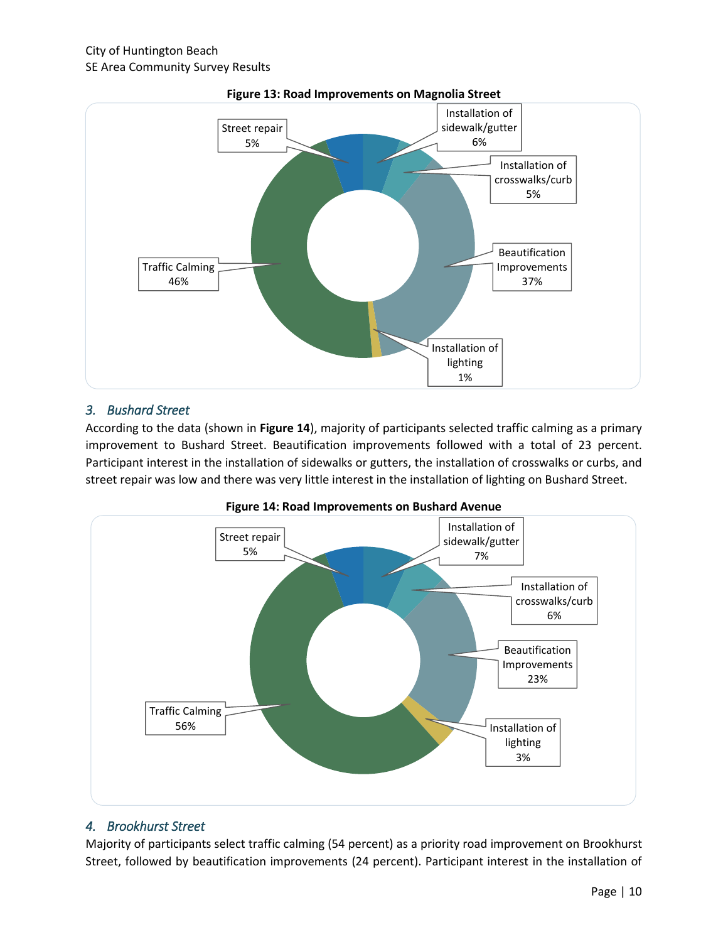

#### **Figure 13: Road Improvements on Magnolia Street**

#### *3. Bushard Street*

According to the data (shown in **Figure 14**), majority of participants selected traffic calming as a primary improvement to Bushard Street. Beautification improvements followed with a total of 23 percent. Participant interest in the installation of sidewalks or gutters, the installation of crosswalks or curbs, and street repair was low and there was very little interest in the installation of lighting on Bushard Street.



**Figure 14: Road Improvements on Bushard Avenue**

#### *4. Brookhurst Street*

Majority of participants select traffic calming (54 percent) as a priority road improvement on Brookhurst Street, followed by beautification improvements (24 percent). Participant interest in the installation of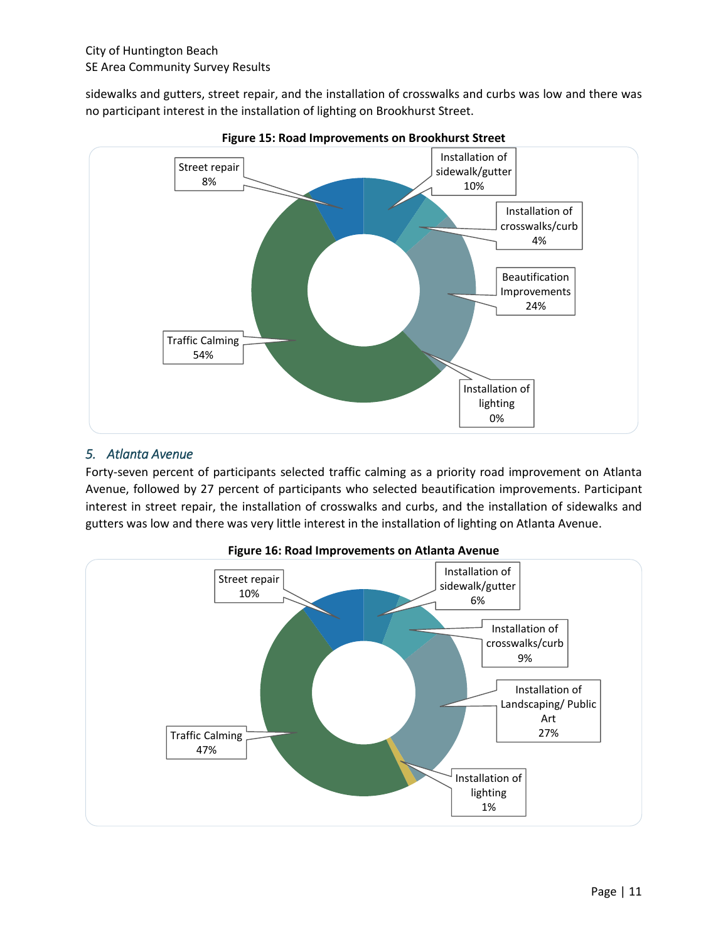sidewalks and gutters, street repair, and the installation of crosswalks and curbs was low and there was no participant interest in the installation of lighting on Brookhurst Street.



**Figure 15: Road Improvements on Brookhurst Street**

## *5. Atlanta Avenue*

Forty-seven percent of participants selected traffic calming as a priority road improvement on Atlanta Avenue, followed by 27 percent of participants who selected beautification improvements. Participant interest in street repair, the installation of crosswalks and curbs, and the installation of sidewalks and gutters was low and there was very little interest in the installation of lighting on Atlanta Avenue.



**Figure 16: Road Improvements on Atlanta Avenue**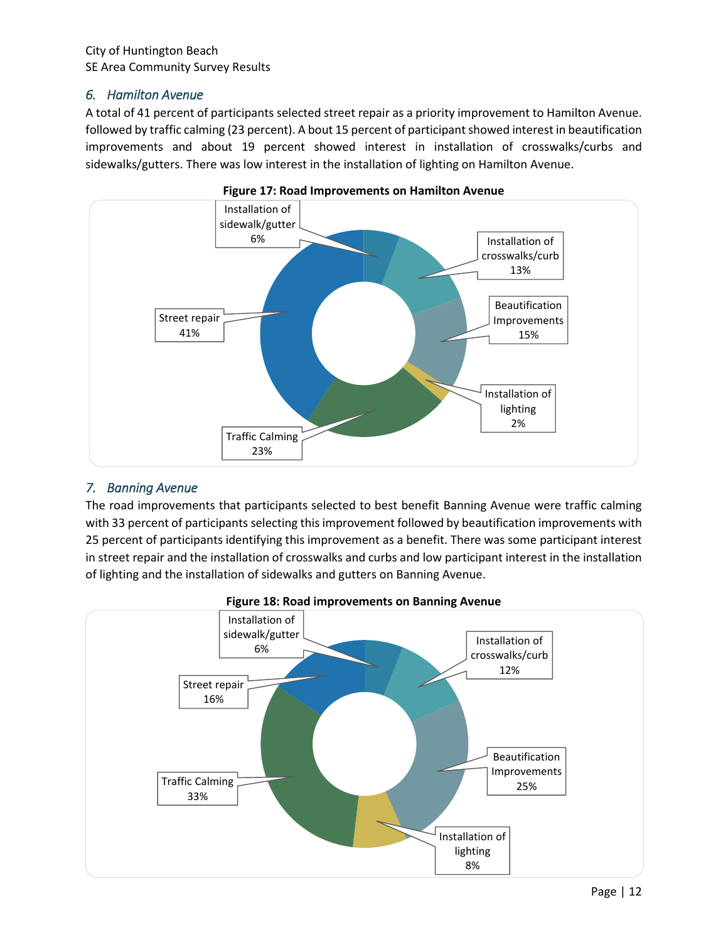#### *6. Hamilton Avenue*

A total of 41 percent of participants selected street repair as a priority improvement to Hamilton Avenue. followed by traffic calming (23 percent). A bout 15 percent of participant showed interest in beautification improvements and about 19 percent showed interest in installation of crosswalks/curbs and sidewalks/gutters. There was low interest in the installation of lighting on Hamilton Avenue.





## *7. Banning Avenue*

The road improvements that participants selected to best benefit Banning Avenue were traffic calming with 33 percent of participants selecting this improvement followed by beautification improvements with 25 percent of participants identifying this improvement as a benefit. There was some participant interest in street repair and the installation of crosswalks and curbs and low participant interest in the installation of lighting and the installation of sidewalks and gutters on Banning Avenue.



#### **Figure 18: Road improvements on Banning Avenue**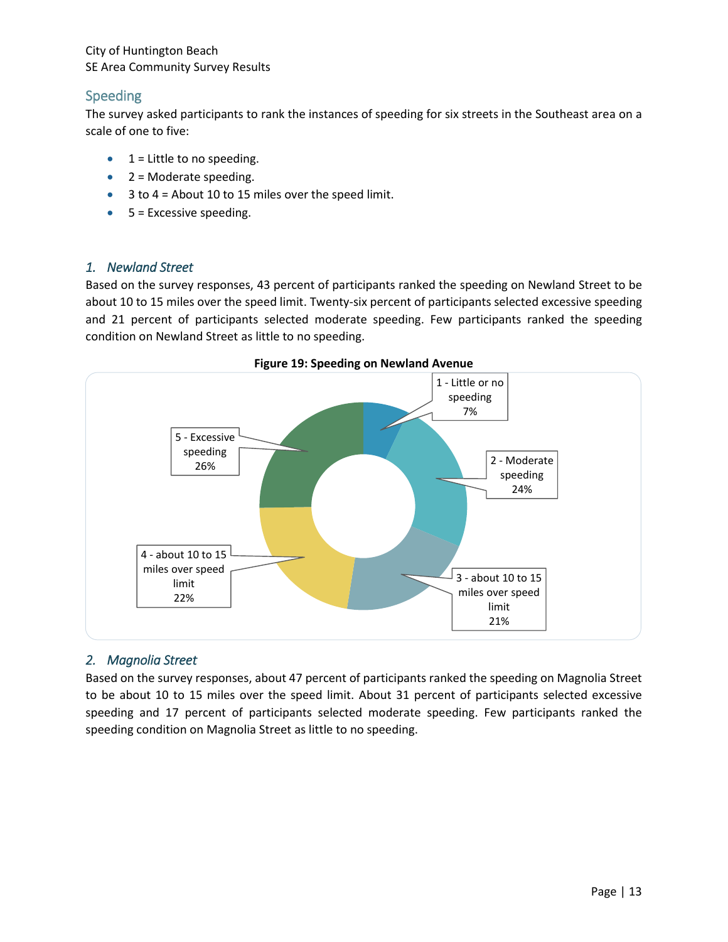## Speeding

The survey asked participants to rank the instances of speeding for six streets in the Southeast area on a scale of one to five:

- $\bullet$  1 = Little to no speeding.
- $\bullet$  2 = Moderate speeding.
- $\bullet$  3 to 4 = About 10 to 15 miles over the speed limit.
- $5$  = Excessive speeding.

#### *1. Newland Street*

Based on the survey responses, 43 percent of participants ranked the speeding on Newland Street to be about 10 to 15 miles over the speed limit. Twenty-six percent of participants selected excessive speeding and 21 percent of participants selected moderate speeding. Few participants ranked the speeding condition on Newland Street as little to no speeding.



#### **Figure 19: Speeding on Newland Avenue**

## *2. Magnolia Street*

Based on the survey responses, about 47 percent of participants ranked the speeding on Magnolia Street to be about 10 to 15 miles over the speed limit. About 31 percent of participants selected excessive speeding and 17 percent of participants selected moderate speeding. Few participants ranked the speeding condition on Magnolia Street as little to no speeding.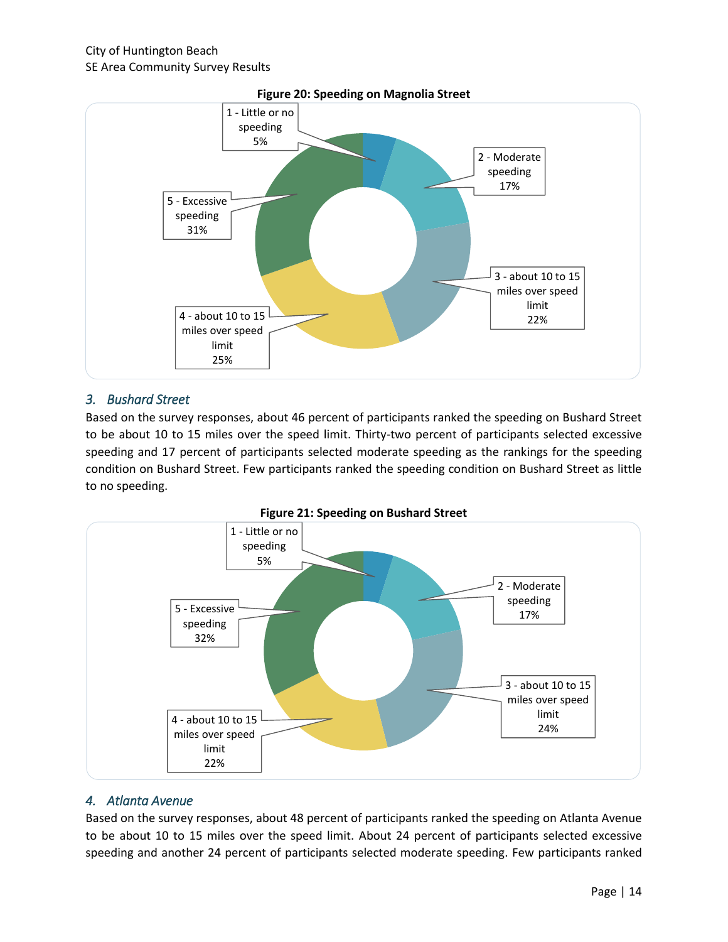

#### *3. Bushard Street*

Based on the survey responses, about 46 percent of participants ranked the speeding on Bushard Street to be about 10 to 15 miles over the speed limit. Thirty-two percent of participants selected excessive speeding and 17 percent of participants selected moderate speeding as the rankings for the speeding condition on Bushard Street. Few participants ranked the speeding condition on Bushard Street as little to no speeding.





#### *4. Atlanta Avenue*

Based on the survey responses, about 48 percent of participants ranked the speeding on Atlanta Avenue to be about 10 to 15 miles over the speed limit. About 24 percent of participants selected excessive speeding and another 24 percent of participants selected moderate speeding. Few participants ranked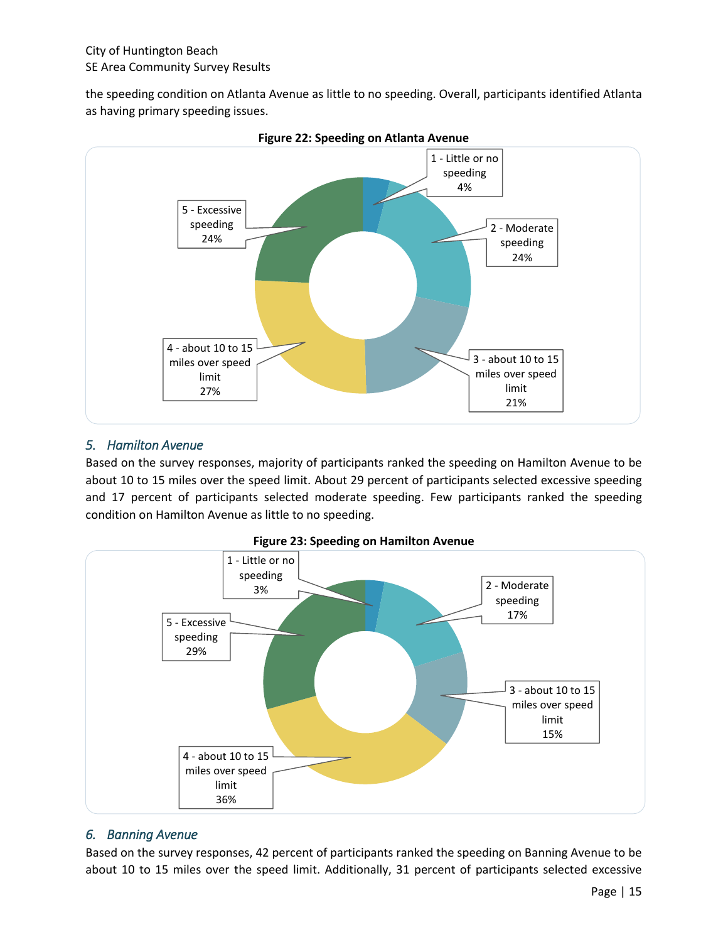the speeding condition on Atlanta Avenue as little to no speeding. Overall, participants identified Atlanta as having primary speeding issues.





#### *5. Hamilton Avenue*

Based on the survey responses, majority of participants ranked the speeding on Hamilton Avenue to be about 10 to 15 miles over the speed limit. About 29 percent of participants selected excessive speeding and 17 percent of participants selected moderate speeding. Few participants ranked the speeding condition on Hamilton Avenue as little to no speeding.





#### *6. Banning Avenue*

Based on the survey responses, 42 percent of participants ranked the speeding on Banning Avenue to be about 10 to 15 miles over the speed limit. Additionally, 31 percent of participants selected excessive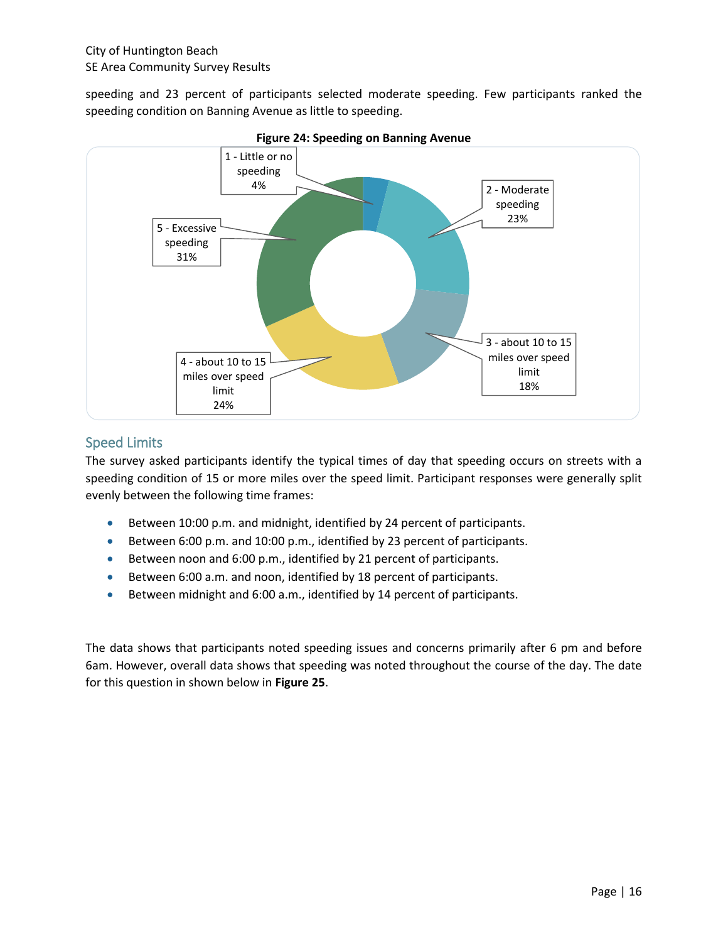speeding and 23 percent of participants selected moderate speeding. Few participants ranked the speeding condition on Banning Avenue as little to speeding.



**Figure 24: Speeding on Banning Avenue**

## Speed Limits

The survey asked participants identify the typical times of day that speeding occurs on streets with a speeding condition of 15 or more miles over the speed limit. Participant responses were generally split evenly between the following time frames:

- Between 10:00 p.m. and midnight, identified by 24 percent of participants.
- Between 6:00 p.m. and 10:00 p.m., identified by 23 percent of participants.
- Between noon and 6:00 p.m., identified by 21 percent of participants.
- Between 6:00 a.m. and noon, identified by 18 percent of participants.
- Between midnight and 6:00 a.m., identified by 14 percent of participants.

The data shows that participants noted speeding issues and concerns primarily after 6 pm and before 6am. However, overall data shows that speeding was noted throughout the course of the day. The date for this question in shown below in **Figure 25**.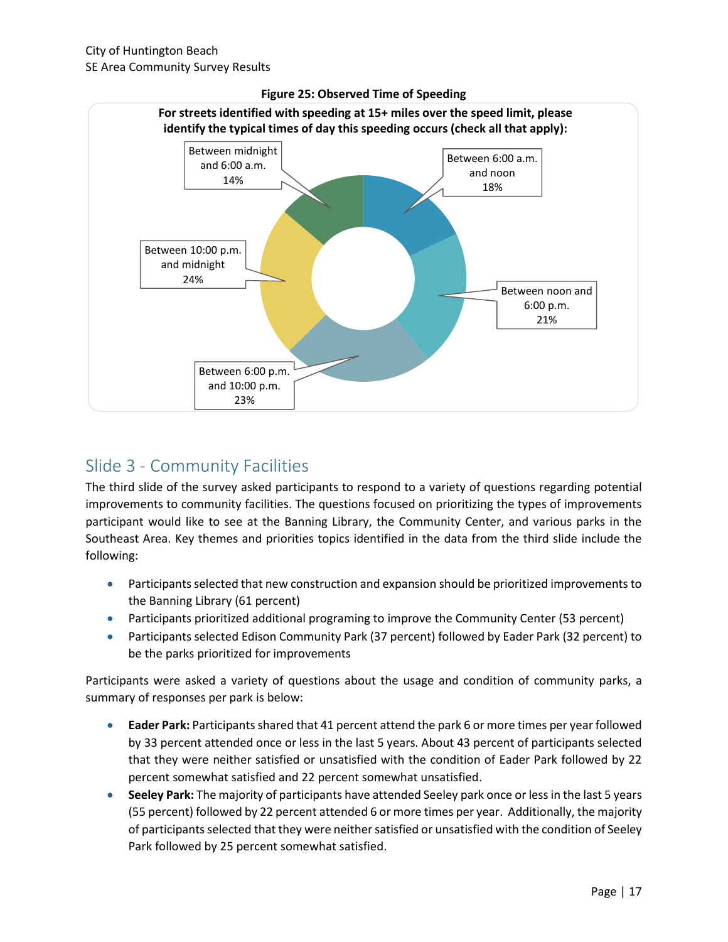

#### **Figure 25: Observed Time of Speeding**

# Slide 3 - Community Facilities

The third slide of the survey asked participants to respond to a variety of questions regarding potential improvements to community facilities. The questions focused on prioritizing the types of improvements participant would like to see at the Banning Library, the Community Center, and various parks in the Southeast Area. Key themes and priorities topics identified in the data from the third slide include the following:

- Participants selected that new construction and expansion should be prioritized improvements to the Banning Library (61 percent)
- Participants prioritized additional programing to improve the Community Center (53 percent)
- Participants selected Edison Community Park (37 percent) followed by Eader Park (32 percent) to be the parks prioritized for improvements

Participants were asked a variety of questions about the usage and condition of community parks, a summary of responses per park is below:

- **Eader Park:** Participants shared that 41 percent attend the park 6 or more times per year followed by 33 percent attended once or less in the last 5 years. About 43 percent of participants selected that they were neither satisfied or unsatisfied with the condition of Eader Park followed by 22 percent somewhat satisfied and 22 percent somewhat unsatisfied.
- **Seeley Park:** The majority of participants have attended Seeley park once or less in the last 5 years (55 percent) followed by 22 percent attended 6 or more times per year. Additionally, the majority of participants selected that they were neither satisfied or unsatisfied with the condition of Seeley Park followed by 25 percent somewhat satisfied.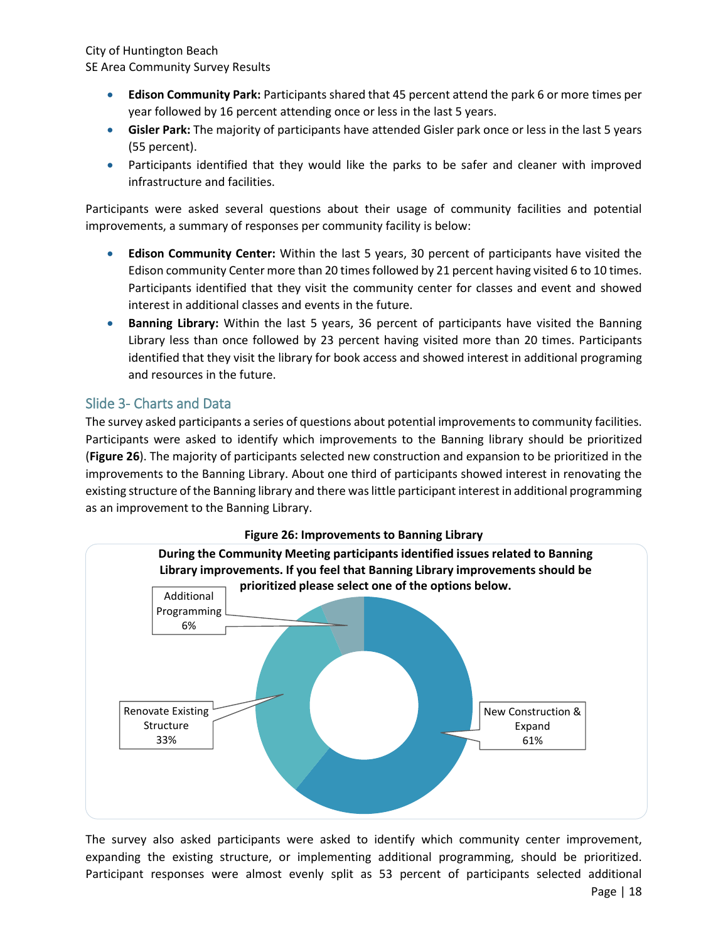- **Edison Community Park:** Participants shared that 45 percent attend the park 6 or more times per year followed by 16 percent attending once or less in the last 5 years.
- **Gisler Park:** The majority of participants have attended Gisler park once or less in the last 5 years (55 percent).
- Participants identified that they would like the parks to be safer and cleaner with improved infrastructure and facilities.

Participants were asked several questions about their usage of community facilities and potential improvements, a summary of responses per community facility is below:

- **Edison Community Center:** Within the last 5 years, 30 percent of participants have visited the Edison community Center more than 20 times followed by 21 percent having visited 6 to 10 times. Participants identified that they visit the community center for classes and event and showed interest in additional classes and events in the future.
- **Banning Library:** Within the last 5 years, 36 percent of participants have visited the Banning Library less than once followed by 23 percent having visited more than 20 times. Participants identified that they visit the library for book access and showed interest in additional programing and resources in the future.

## Slide 3- Charts and Data

The survey asked participants a series of questions about potential improvements to community facilities. Participants were asked to identify which improvements to the Banning library should be prioritized (**Figure 26**). The majority of participants selected new construction and expansion to be prioritized in the improvements to the Banning Library. About one third of participants showed interest in renovating the existing structure of the Banning library and there was little participant interest in additional programming as an improvement to the Banning Library.



Page | 18 The survey also asked participants were asked to identify which community center improvement, expanding the existing structure, or implementing additional programming, should be prioritized. Participant responses were almost evenly split as 53 percent of participants selected additional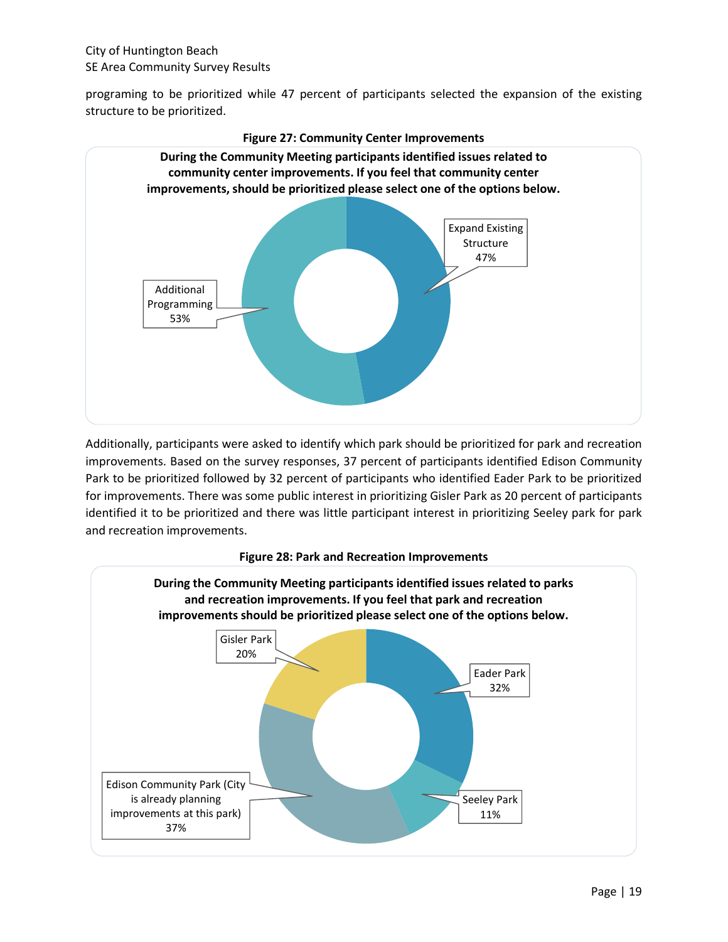programing to be prioritized while 47 percent of participants selected the expansion of the existing structure to be prioritized.



**Figure 27: Community Center Improvements** 

Additionally, participants were asked to identify which park should be prioritized for park and recreation improvements. Based on the survey responses, 37 percent of participants identified Edison Community Park to be prioritized followed by 32 percent of participants who identified Eader Park to be prioritized for improvements. There was some public interest in prioritizing Gisler Park as 20 percent of participants identified it to be prioritized and there was little participant interest in prioritizing Seeley park for park and recreation improvements.



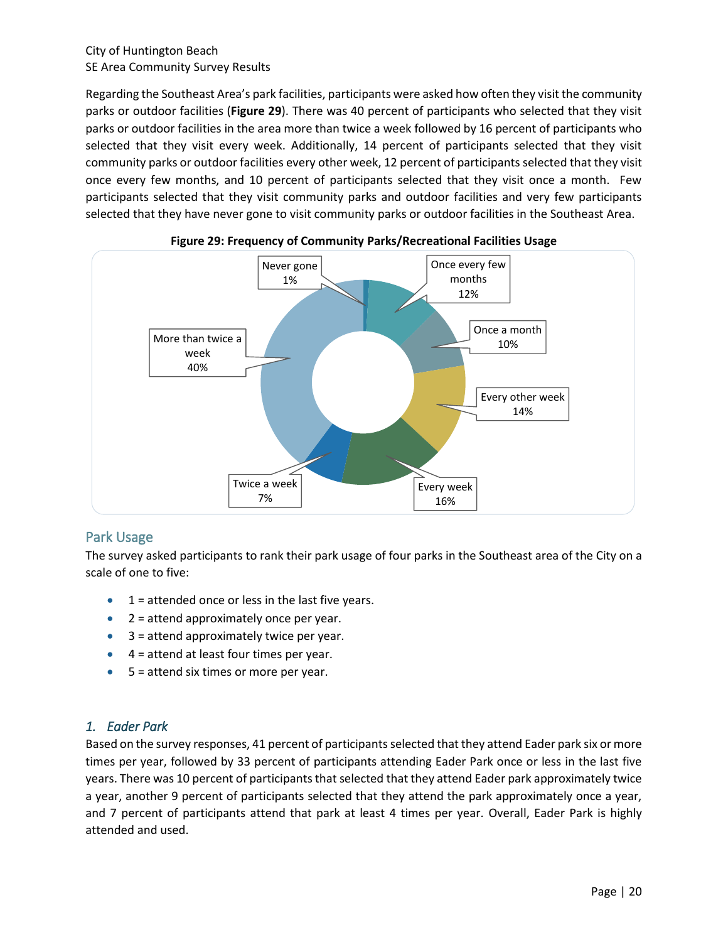Regarding the Southeast Area's park facilities, participants were asked how often they visit the community parks or outdoor facilities (**Figure 29**). There was 40 percent of participants who selected that they visit parks or outdoor facilities in the area more than twice a week followed by 16 percent of participants who selected that they visit every week. Additionally, 14 percent of participants selected that they visit community parks or outdoor facilities every other week, 12 percent of participants selected that they visit once every few months, and 10 percent of participants selected that they visit once a month. Few participants selected that they visit community parks and outdoor facilities and very few participants selected that they have never gone to visit community parks or outdoor facilities in the Southeast Area.





## Park Usage

The survey asked participants to rank their park usage of four parks in the Southeast area of the City on a scale of one to five:

- $\bullet$  1 = attended once or less in the last five years.
- $2 =$  attend approximately once per year.
- $\bullet$  3 = attend approximately twice per year.
- $\bullet$  4 = attend at least four times per year.
- $5 =$  attend six times or more per year.

## *1. Eader Park*

Based on the survey responses, 41 percent of participants selected that they attend Eader park six or more times per year, followed by 33 percent of participants attending Eader Park once or less in the last five years. There was 10 percent of participants that selected that they attend Eader park approximately twice a year, another 9 percent of participants selected that they attend the park approximately once a year, and 7 percent of participants attend that park at least 4 times per year. Overall, Eader Park is highly attended and used.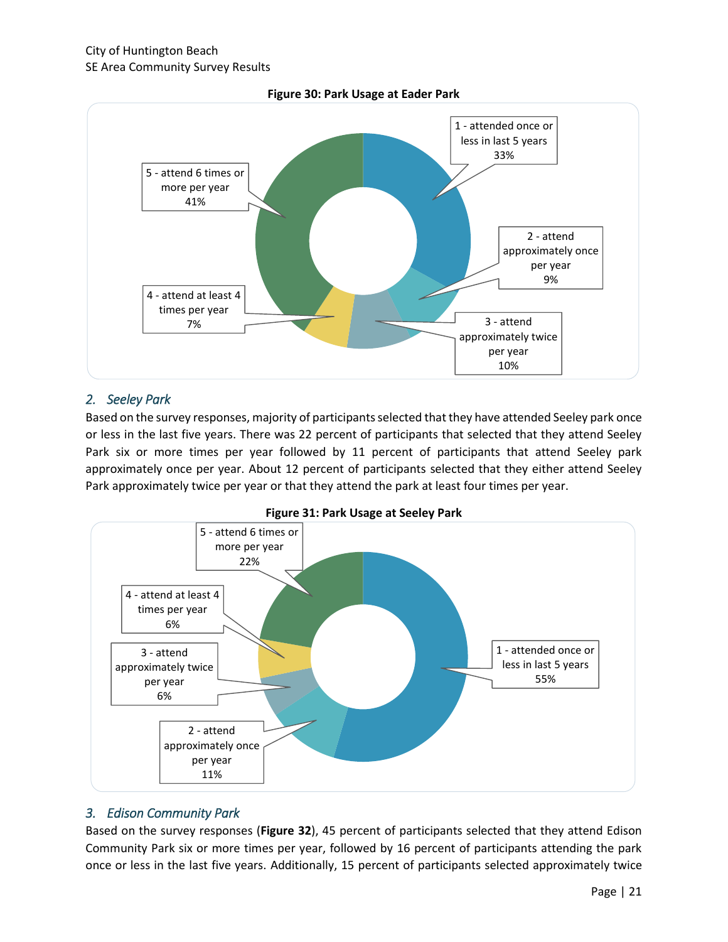

#### **Figure 30: Park Usage at Eader Park**

#### *2. Seeley Park*

Based on the survey responses, majority of participants selected that they have attended Seeley park once or less in the last five years. There was 22 percent of participants that selected that they attend Seeley Park six or more times per year followed by 11 percent of participants that attend Seeley park approximately once per year. About 12 percent of participants selected that they either attend Seeley Park approximately twice per year or that they attend the park at least four times per year.



**Figure 31: Park Usage at Seeley Park**

#### *3. Edison Community Park*

Based on the survey responses (**Figure 32**), 45 percent of participants selected that they attend Edison Community Park six or more times per year, followed by 16 percent of participants attending the park once or less in the last five years. Additionally, 15 percent of participants selected approximately twice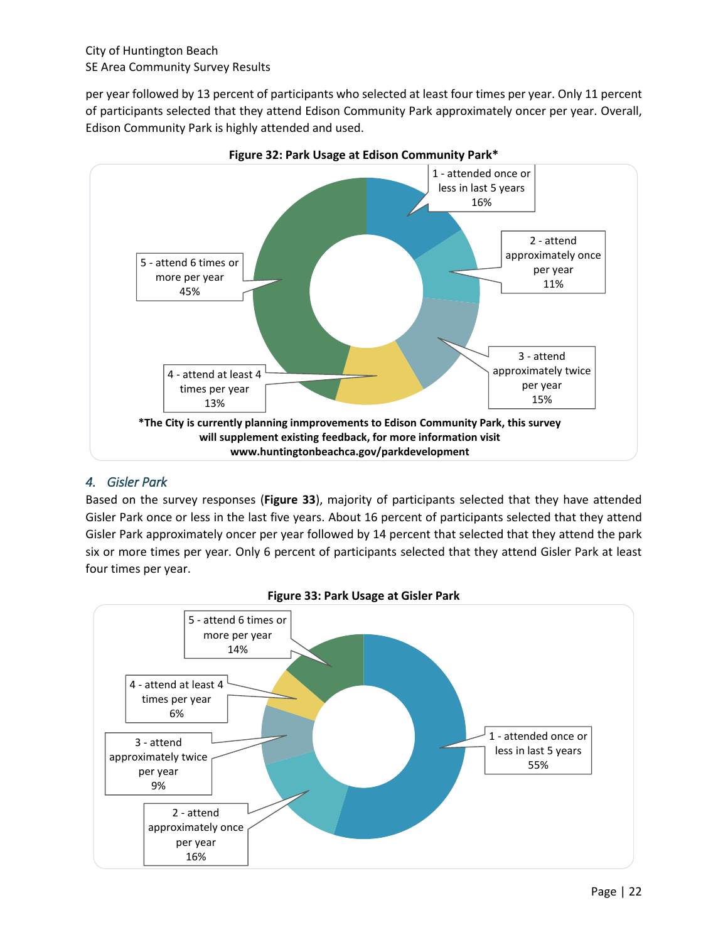per year followed by 13 percent of participants who selected at least four times per year. Only 11 percent of participants selected that they attend Edison Community Park approximately oncer per year. Overall, Edison Community Park is highly attended and used.





## *4. Gisler Park*

Based on the survey responses (**Figure 33**), majority of participants selected that they have attended Gisler Park once or less in the last five years. About 16 percent of participants selected that they attend Gisler Park approximately oncer per year followed by 14 percent that selected that they attend the park six or more times per year. Only 6 percent of participants selected that they attend Gisler Park at least four times per year.



**Figure 33: Park Usage at Gisler Park**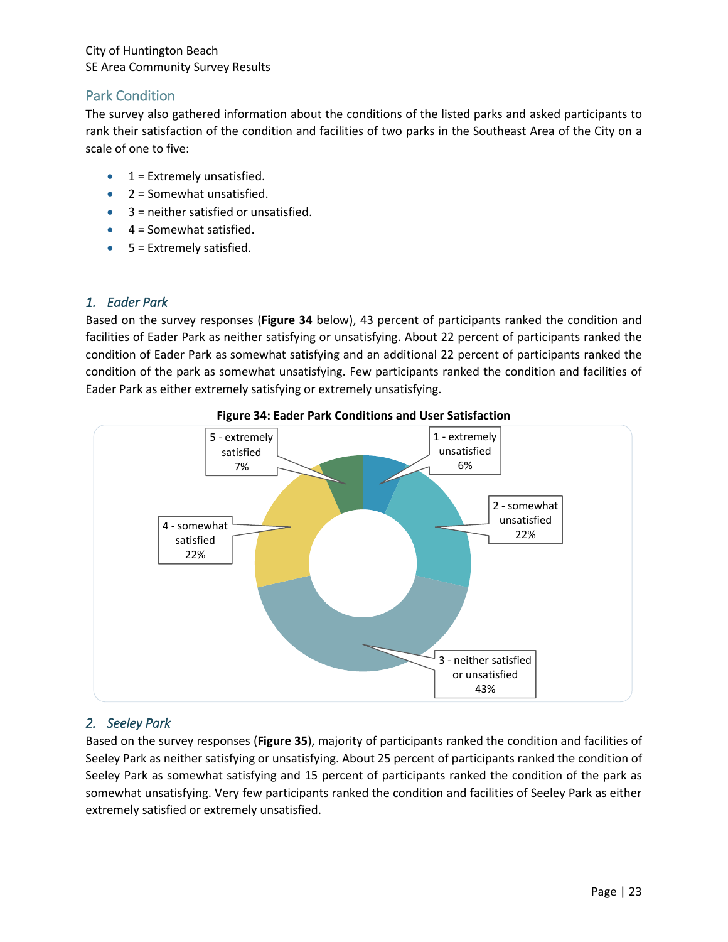## Park Condition

The survey also gathered information about the conditions of the listed parks and asked participants to rank their satisfaction of the condition and facilities of two parks in the Southeast Area of the City on a scale of one to five:

- $1 =$  Extremely unsatisfied.
- $2 =$  Somewhat unsatisfied.
- 3 = neither satisfied or unsatisfied.
- $\bullet$  4 = Somewhat satisfied.
- $5$  = Extremely satisfied.

## *1. Eader Park*

Based on the survey responses (**Figure 34** below), 43 percent of participants ranked the condition and facilities of Eader Park as neither satisfying or unsatisfying. About 22 percent of participants ranked the condition of Eader Park as somewhat satisfying and an additional 22 percent of participants ranked the condition of the park as somewhat unsatisfying. Few participants ranked the condition and facilities of Eader Park as either extremely satisfying or extremely unsatisfying.



#### **Figure 34: Eader Park Conditions and User Satisfaction**

## *2. Seeley Park*

Based on the survey responses (**Figure 35**), majority of participants ranked the condition and facilities of Seeley Park as neither satisfying or unsatisfying. About 25 percent of participants ranked the condition of Seeley Park as somewhat satisfying and 15 percent of participants ranked the condition of the park as somewhat unsatisfying. Very few participants ranked the condition and facilities of Seeley Park as either extremely satisfied or extremely unsatisfied.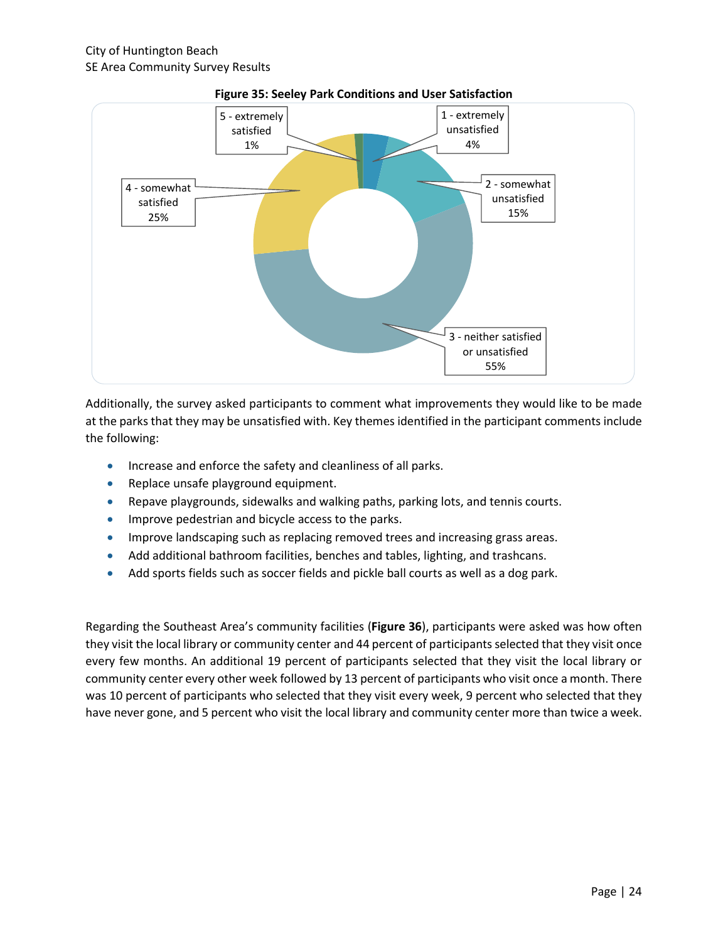

#### **Figure 35: Seeley Park Conditions and User Satisfaction**

Additionally, the survey asked participants to comment what improvements they would like to be made at the parks that they may be unsatisfied with. Key themes identified in the participant comments include the following:

- **Increase and enforce the safety and cleanliness of all parks.**
- Replace unsafe playground equipment.
- Repave playgrounds, sidewalks and walking paths, parking lots, and tennis courts.
- **Improve pedestrian and bicycle access to the parks.**
- **IMPROVE LANDSCAPION AS THE STARK IS A STARK INCOVER ASSES** areas.
- Add additional bathroom facilities, benches and tables, lighting, and trashcans.
- Add sports fields such as soccer fields and pickle ball courts as well as a dog park.

Regarding the Southeast Area's community facilities (**Figure 36**), participants were asked was how often they visit the local library or community center and 44 percent of participants selected that they visit once every few months. An additional 19 percent of participants selected that they visit the local library or community center every other week followed by 13 percent of participants who visit once a month. There was 10 percent of participants who selected that they visit every week, 9 percent who selected that they have never gone, and 5 percent who visit the local library and community center more than twice a week.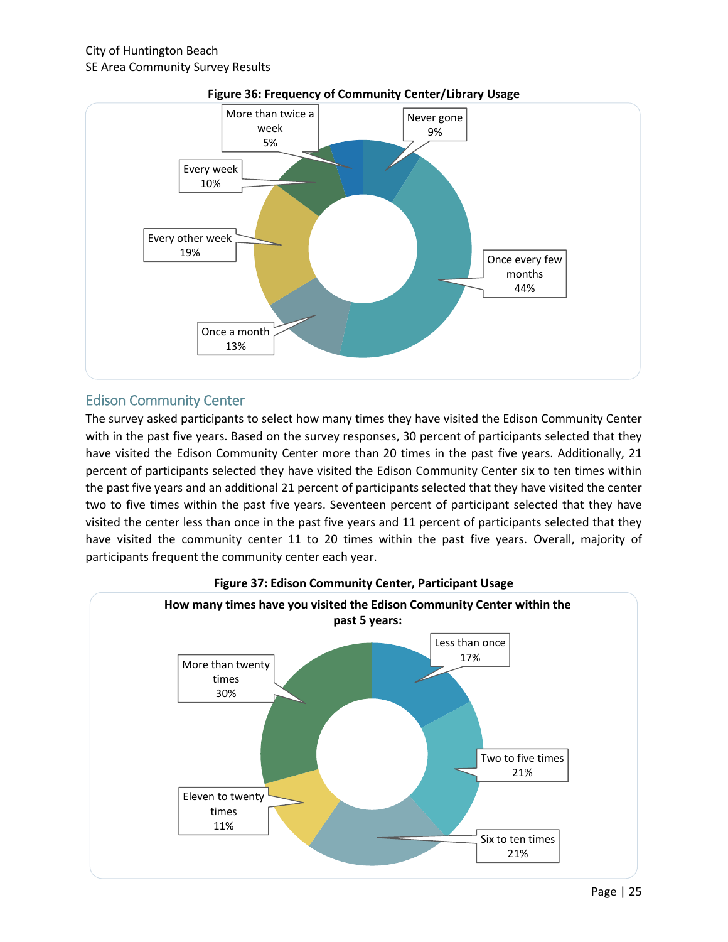

#### **Figure 36: Frequency of Community Center/Library Usage**

## Edison Community Center

The survey asked participants to select how many times they have visited the Edison Community Center with in the past five years. Based on the survey responses, 30 percent of participants selected that they have visited the Edison Community Center more than 20 times in the past five years. Additionally, 21 percent of participants selected they have visited the Edison Community Center six to ten times within the past five years and an additional 21 percent of participants selected that they have visited the center two to five times within the past five years. Seventeen percent of participant selected that they have visited the center less than once in the past five years and 11 percent of participants selected that they have visited the community center 11 to 20 times within the past five years. Overall, majority of participants frequent the community center each year.



#### **Figure 37: Edison Community Center, Participant Usage**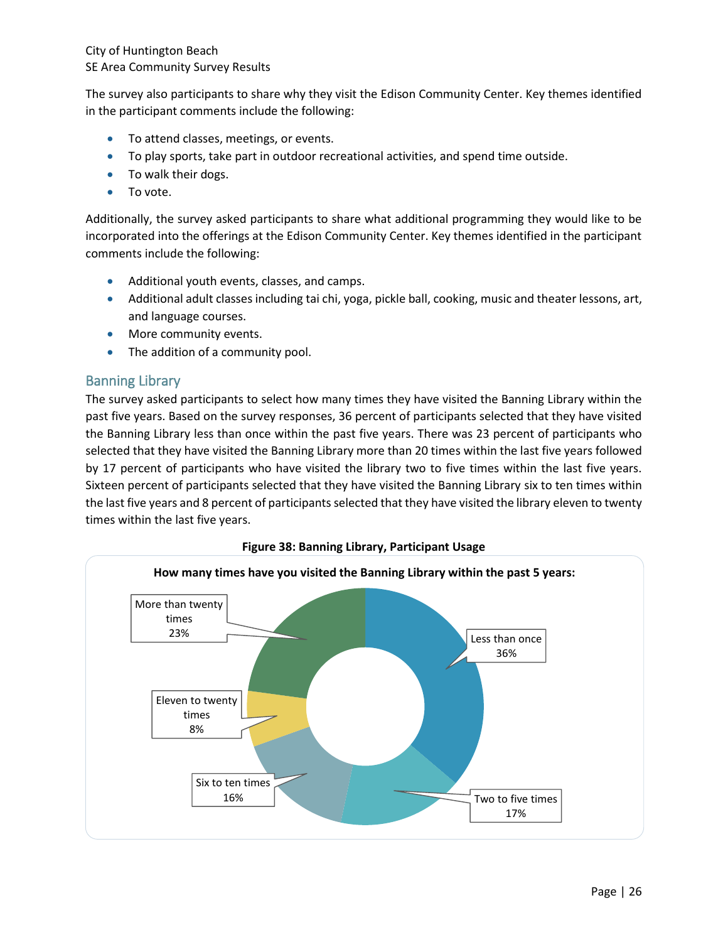The survey also participants to share why they visit the Edison Community Center. Key themes identified in the participant comments include the following:

- To attend classes, meetings, or events.
- To play sports, take part in outdoor recreational activities, and spend time outside.
- To walk their dogs.
- To vote.

Additionally, the survey asked participants to share what additional programming they would like to be incorporated into the offerings at the Edison Community Center. Key themes identified in the participant comments include the following:

- Additional youth events, classes, and camps.
- Additional adult classes including tai chi, yoga, pickle ball, cooking, music and theater lessons, art, and language courses.
- More community events.
- The addition of a community pool.

#### Banning Library

The survey asked participants to select how many times they have visited the Banning Library within the past five years. Based on the survey responses, 36 percent of participants selected that they have visited the Banning Library less than once within the past five years. There was 23 percent of participants who selected that they have visited the Banning Library more than 20 times within the last five years followed by 17 percent of participants who have visited the library two to five times within the last five years. Sixteen percent of participants selected that they have visited the Banning Library six to ten times within the last five years and 8 percent of participants selected that they have visited the library eleven to twenty times within the last five years.



**Figure 38: Banning Library, Participant Usage**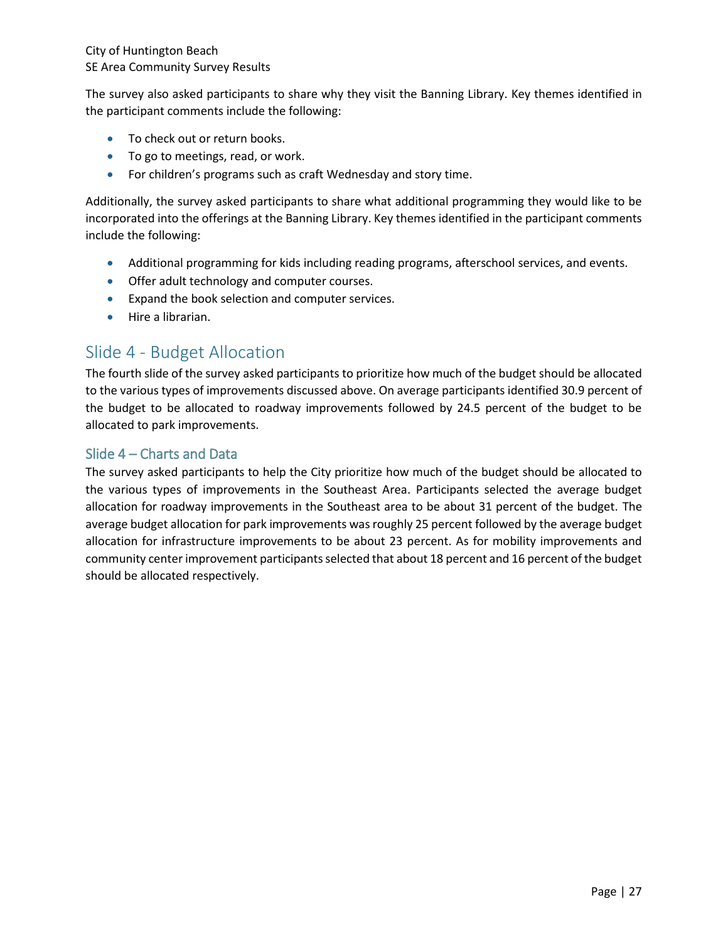The survey also asked participants to share why they visit the Banning Library. Key themes identified in the participant comments include the following:

- To check out or return books.
- To go to meetings, read, or work.
- For children's programs such as craft Wednesday and story time.

Additionally, the survey asked participants to share what additional programming they would like to be incorporated into the offerings at the Banning Library. Key themes identified in the participant comments include the following:

- Additional programming for kids including reading programs, afterschool services, and events.
- **•** Offer adult technology and computer courses.
- Expand the book selection and computer services.
- Hire a librarian.

# Slide 4 - Budget Allocation

The fourth slide of the survey asked participants to prioritize how much of the budget should be allocated to the various types of improvements discussed above. On average participants identified 30.9 percent of the budget to be allocated to roadway improvements followed by 24.5 percent of the budget to be allocated to park improvements.

## Slide 4 – Charts and Data

The survey asked participants to help the City prioritize how much of the budget should be allocated to the various types of improvements in the Southeast Area. Participants selected the average budget allocation for roadway improvements in the Southeast area to be about 31 percent of the budget. The average budget allocation for park improvements was roughly 25 percent followed by the average budget allocation for infrastructure improvements to be about 23 percent. As for mobility improvements and community center improvement participants selected that about 18 percent and 16 percent of the budget should be allocated respectively.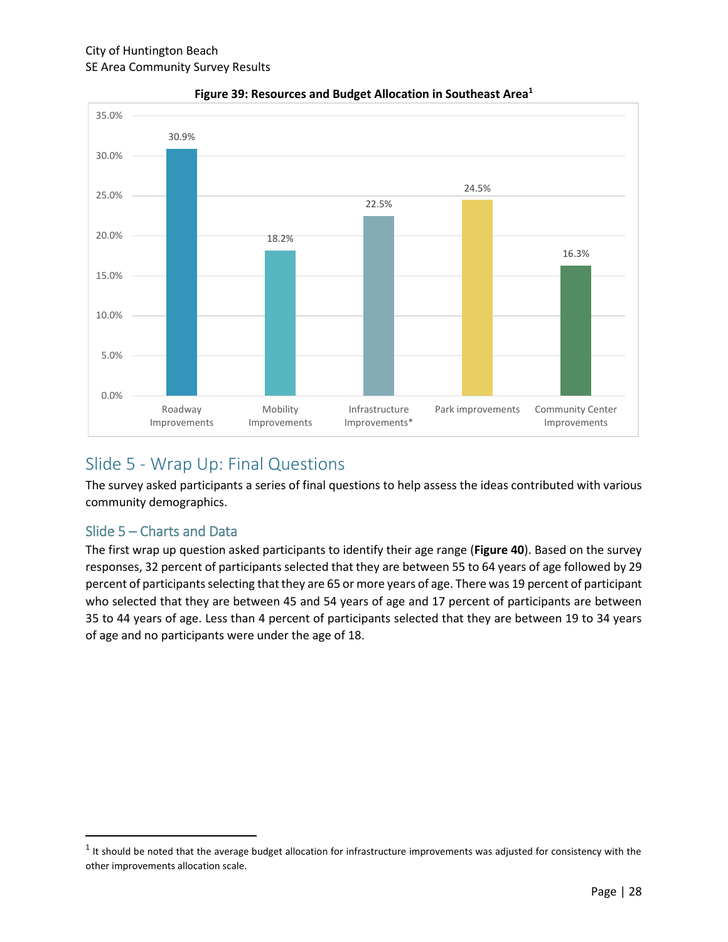

**Figure 39: Resources and Budget Allocation in Southeast Area<sup>1</sup>**

# Slide 5 - Wrap Up: Final Questions

The survey asked participants a series of final questions to help assess the ideas contributed with various community demographics.

## Slide 5 – Charts and Data

 $\overline{\phantom{a}}$ 

The first wrap up question asked participants to identify their age range (**Figure 40**). Based on the survey responses, 32 percent of participants selected that they are between 55 to 64 years of age followed by 29 percent of participants selecting that they are 65 or more years of age. There was 19 percent of participant who selected that they are between 45 and 54 years of age and 17 percent of participants are between 35 to 44 years of age. Less than 4 percent of participants selected that they are between 19 to 34 years of age and no participants were under the age of 18.

 $<sup>1</sup>$  It should be noted that the average budget allocation for infrastructure improvements was adjusted for consistency with the</sup> other improvements allocation scale.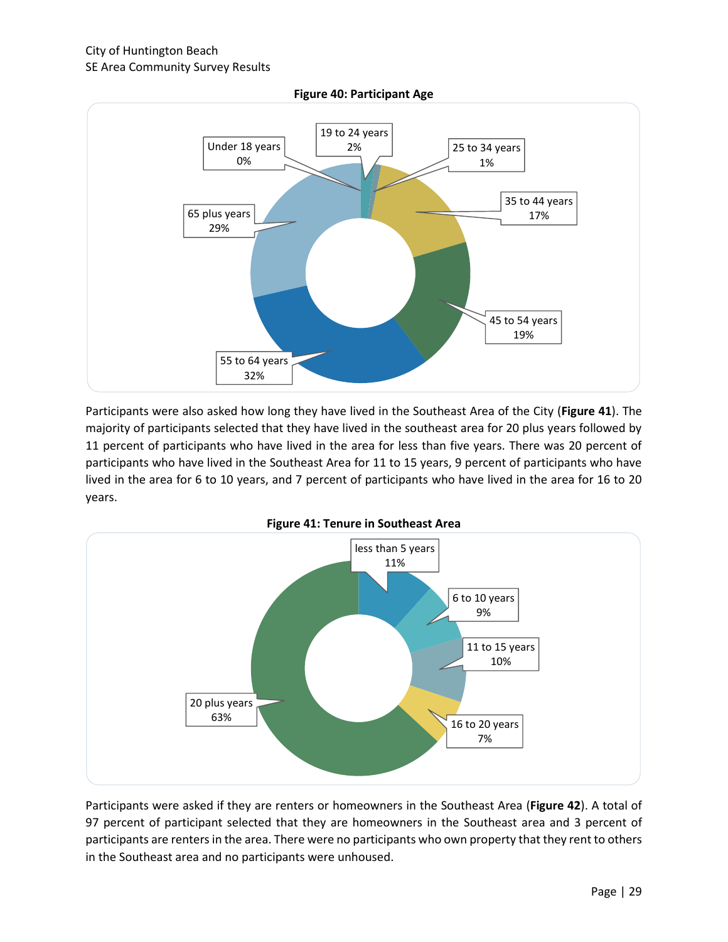

Participants were also asked how long they have lived in the Southeast Area of the City (**Figure 41**). The majority of participants selected that they have lived in the southeast area for 20 plus years followed by 11 percent of participants who have lived in the area for less than five years. There was 20 percent of participants who have lived in the Southeast Area for 11 to 15 years, 9 percent of participants who have lived in the area for 6 to 10 years, and 7 percent of participants who have lived in the area for 16 to 20 years.



Participants were asked if they are renters or homeowners in the Southeast Area (**Figure 42**). A total of 97 percent of participant selected that they are homeowners in the Southeast area and 3 percent of participants are renters in the area. There were no participants who own property that they rent to others in the Southeast area and no participants were unhoused.